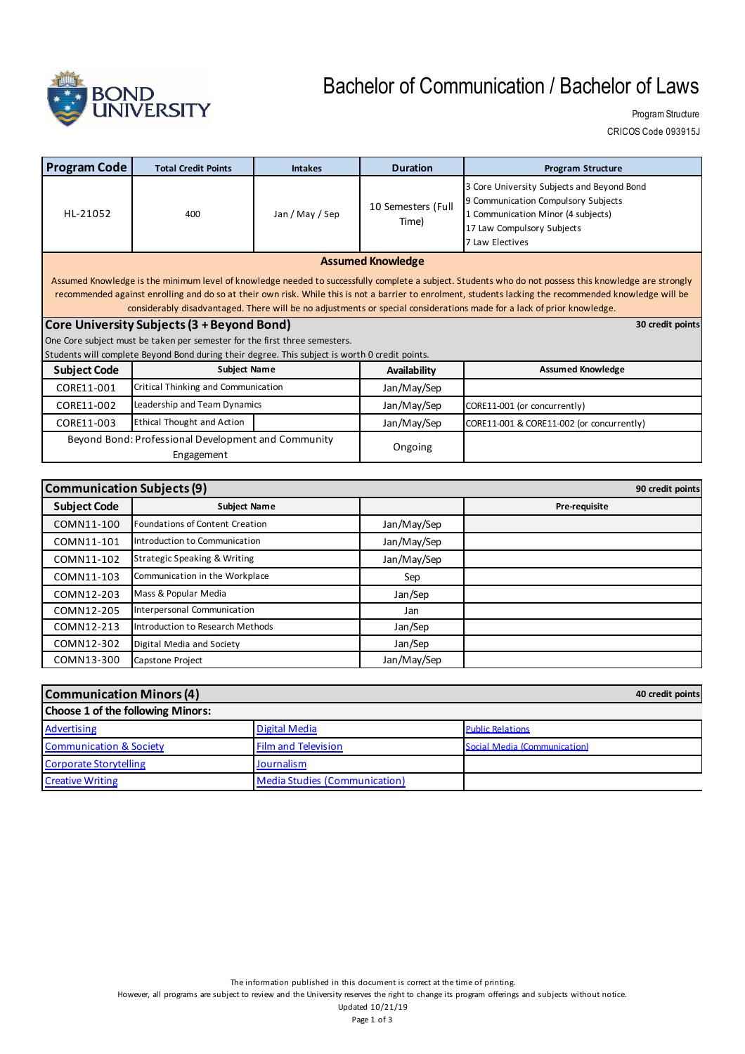

## Bachelor of Communication / Bachelor of Laws

Program Structure CRICOS Code 093915J

| <b>Program Code</b>                                                                                                                                                                                                                                                                                                                                                                                                                                                                                                                                                                         | <b>Total Credit Points</b>          | <b>Intakes</b>  | <b>Duration</b>             | <b>Program Structure</b>                                                                                                                                                 |
|---------------------------------------------------------------------------------------------------------------------------------------------------------------------------------------------------------------------------------------------------------------------------------------------------------------------------------------------------------------------------------------------------------------------------------------------------------------------------------------------------------------------------------------------------------------------------------------------|-------------------------------------|-----------------|-----------------------------|--------------------------------------------------------------------------------------------------------------------------------------------------------------------------|
| HL-21052                                                                                                                                                                                                                                                                                                                                                                                                                                                                                                                                                                                    | 400                                 | Jan / May / Sep | 10 Semesters (Full<br>Time) | 3 Core University Subjects and Beyond Bond<br>9 Communication Compulsory Subjects<br>1 Communication Minor (4 subjects)<br>17 Law Compulsory Subjects<br>7 Law Electives |
| <b>Assumed Knowledge</b>                                                                                                                                                                                                                                                                                                                                                                                                                                                                                                                                                                    |                                     |                 |                             |                                                                                                                                                                          |
| Assumed Knowledge is the minimum level of knowledge needed to successfully complete a subject. Students who do not possess this knowledge are strongly<br>recommended against enrolling and do so at their own risk. While this is not a barrier to enrolment, students lacking the recommended knowledge will be<br>considerably disadvantaged. There will be no adjustments or special considerations made for a lack of prior knowledge.<br>Core University Subjects (3 + Beyond Bond)<br>30 credit points<br>One Core subject must be taken per semester for the first three semesters. |                                     |                 |                             |                                                                                                                                                                          |
| Students will complete Beyond Bond during their degree. This subject is worth 0 credit points.                                                                                                                                                                                                                                                                                                                                                                                                                                                                                              |                                     |                 |                             |                                                                                                                                                                          |
| <b>Subject Code</b>                                                                                                                                                                                                                                                                                                                                                                                                                                                                                                                                                                         | <b>Subject Name</b>                 |                 | Availability                | <b>Assumed Knowledge</b>                                                                                                                                                 |
| CORE11-001                                                                                                                                                                                                                                                                                                                                                                                                                                                                                                                                                                                  | Critical Thinking and Communication |                 | Jan/May/Sep                 |                                                                                                                                                                          |
| CORE11-002                                                                                                                                                                                                                                                                                                                                                                                                                                                                                                                                                                                  | Leadership and Team Dynamics        |                 | Jan/May/Sep                 | CORE11-001 (or concurrently)                                                                                                                                             |
| CORE11-003                                                                                                                                                                                                                                                                                                                                                                                                                                                                                                                                                                                  | <b>Ethical Thought and Action</b>   |                 | Jan/May/Sep                 | CORE11-001 & CORE11-002 (or concurrently)                                                                                                                                |
| Beyond Bond: Professional Development and Community<br>Engagement                                                                                                                                                                                                                                                                                                                                                                                                                                                                                                                           |                                     | Ongoing         |                             |                                                                                                                                                                          |
|                                                                                                                                                                                                                                                                                                                                                                                                                                                                                                                                                                                             |                                     |                 |                             |                                                                                                                                                                          |

| <b>Communication Subjects (9)</b> |                                         |             | 90 credit points |
|-----------------------------------|-----------------------------------------|-------------|------------------|
| <b>Subject Code</b>               | <b>Subject Name</b>                     |             | Pre-requisite    |
| COMN11-100                        | Foundations of Content Creation         | Jan/May/Sep |                  |
| COMN11-101                        | Introduction to Communication           | Jan/May/Sep |                  |
| COMN11-102                        | <b>Strategic Speaking &amp; Writing</b> | Jan/May/Sep |                  |
| COMN11-103                        | Communication in the Workplace          | Sep         |                  |
| COMN12-203                        | Mass & Popular Media                    | Jan/Sep     |                  |
| COMN12-205                        | Interpersonal Communication             | Jan         |                  |
| COMN12-213                        | Introduction to Research Methods        | Jan/Sep     |                  |
| COMN12-302                        | Digital Media and Society               | Jan/Sep     |                  |
| COMN13-300                        | Capstone Project                        | Jan/May/Sep |                  |

| <b>Communication Minors (4)</b>    |                               | 40 credit points             |
|------------------------------------|-------------------------------|------------------------------|
| Choose 1 of the following Minors:  |                               |                              |
| Advertising                        | <b>Digital Media</b>          | <b>Public Relations</b>      |
| <b>Communication &amp; Society</b> | <b>Film and Television</b>    | Social Media (Communication) |
| <b>Corporate Storytelling</b>      | <b>Journalism</b>             |                              |
| <b>Creative Writing</b>            | Media Studies (Communication) |                              |

The information published in this document is correct at the time of printing.

However, all programs are subject to review and the University reserves the right to change its program offerings and subjects without notice.

Updated 10/21/19 Page 1 of 3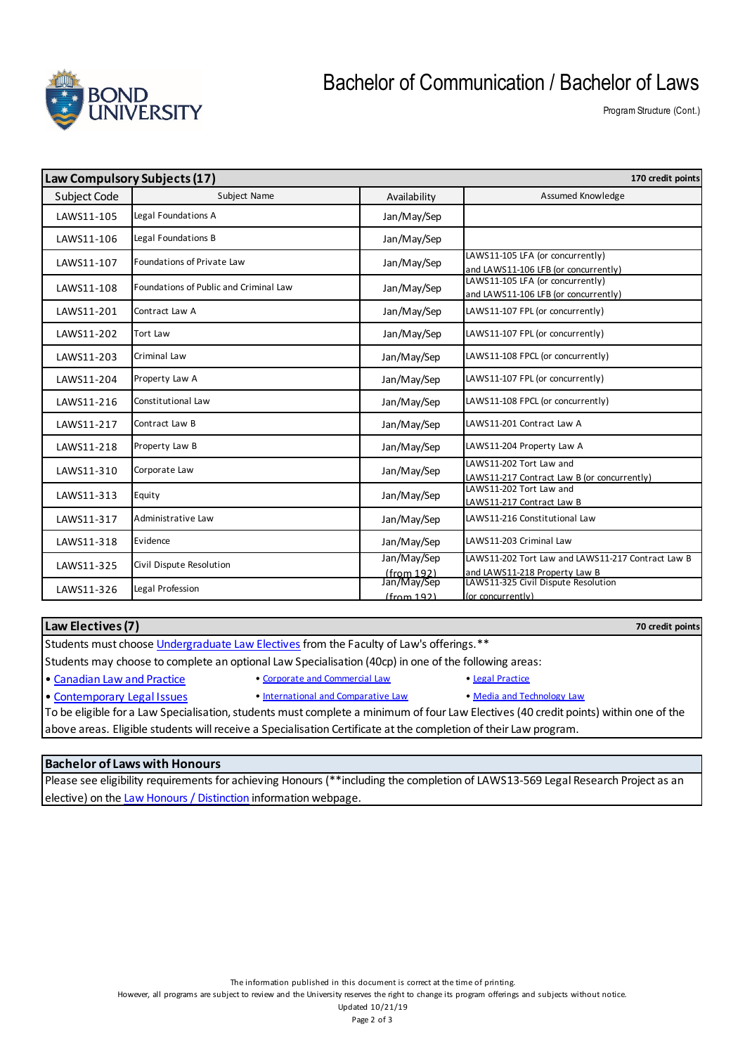

### Bachelor of Communication / Bachelor of Laws

Program Structure (Cont.)

| Law Compulsory Subjects (17)<br>170 credit points |                                        |                           |                                                                                    |
|---------------------------------------------------|----------------------------------------|---------------------------|------------------------------------------------------------------------------------|
| Subject Code                                      | Subject Name                           | Availability              | <b>Assumed Knowledge</b>                                                           |
| LAWS11-105                                        | Legal Foundations A                    | Jan/May/Sep               |                                                                                    |
| LAWS11-106                                        | Legal Foundations B                    | Jan/May/Sep               |                                                                                    |
| LAWS11-107                                        | Foundations of Private Law             | Jan/May/Sep               | LAWS11-105 LFA (or concurrently)<br>and LAWS11-106 LFB (or concurrently)           |
| LAWS11-108                                        | Foundations of Public and Criminal Law | Jan/May/Sep               | LAWS11-105 LFA (or concurrently)<br>and LAWS11-106 LFB (or concurrently)           |
| LAWS11-201                                        | Contract Law A                         | Jan/May/Sep               | LAWS11-107 FPL (or concurrently)                                                   |
| LAWS11-202                                        | Tort Law                               | Jan/May/Sep               | LAWS11-107 FPL (or concurrently)                                                   |
| LAWS11-203                                        | Criminal Law                           | Jan/May/Sep               | LAWS11-108 FPCL (or concurrently)                                                  |
| LAWS11-204                                        | Property Law A                         | Jan/May/Sep               | LAWS11-107 FPL (or concurrently)                                                   |
| LAWS11-216                                        | Constitutional Law                     | Jan/May/Sep               | LAWS11-108 FPCL (or concurrently)                                                  |
| LAWS11-217                                        | Contract Law B                         | Jan/May/Sep               | LAWS11-201 Contract Law A                                                          |
| LAWS11-218                                        | Property Law B                         | Jan/May/Sep               | LAWS11-204 Property Law A                                                          |
| LAWS11-310                                        | Corporate Law                          | Jan/May/Sep               | LAWS11-202 Tort Law and<br>LAWS11-217 Contract Law B (or concurrently)             |
| LAWS11-313                                        | Equity                                 | Jan/May/Sep               | LAWS11-202 Tort Law and<br>LAWS11-217 Contract Law B                               |
| LAWS11-317                                        | Administrative Law                     | Jan/May/Sep               | LAWS11-216 Constitutional Law                                                      |
| LAWS11-318                                        | Evidence                               | Jan/May/Sep               | LAWS11-203 Criminal Law                                                            |
| LAWS11-325                                        | Civil Dispute Resolution               | Jan/May/Sep<br>(from 192) | LAWS11-202 Tort Law and LAWS11-217 Contract Law B<br>and LAWS11-218 Property Law B |
| LAWS11-326                                        | Legal Profession                       | Jan/May/Sep<br>(from 192) | LAWS11-325 Civil Dispute Resolution<br>(or concurrently)                           |

#### **Law Electives (7)**

Students must choose Undergraduate Law Electives from the Faculty of Law's offerings.\*\*

Students may choose to complete an optional Law Specialisation (40cp) in one of the following areas:

- Canadian Law and Practice Corporate and Commercial Law Legal Practice
	-

• Contemporary Legal Issues • International and Comparative Law • Media and Technology Law

To be eligible for a Law Specialisation, students must complete a minimum of four Law Electives (40 credit points) within one of the above areas. Eligible students will receive a Specialisation Certificate at the completion of their Law program.

#### **Bachelor of Laws with Honours**

Please see eligibility requirements for achieving Honours (\*\*including the completion of LAWS13-569 Legal Research Project as an elective) on the Law Honours / Distinction information webpage.

However, all programs are subject to review and the University reserves the right to change its program offerings and subjects without notice.

**70 credit points**